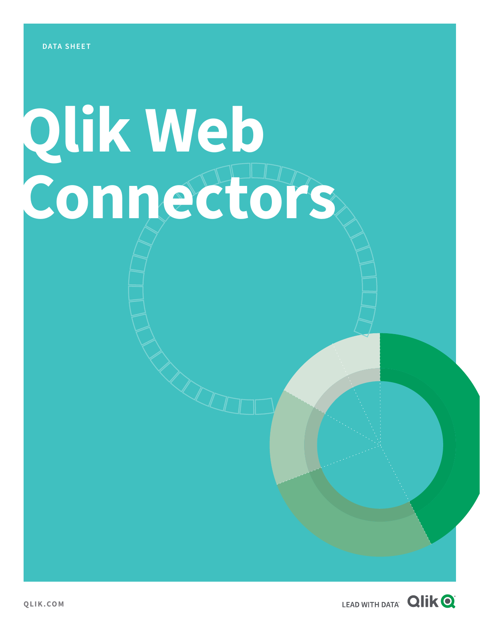# **Qlik Web Connectors**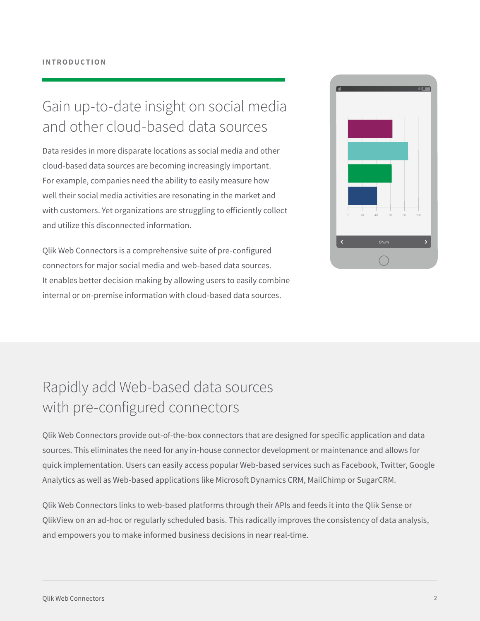## Gain up-to-date insight on social media and other cloud-based data sources

Data resides in more disparate locations as social media and other cloud-based data sources are becoming increasingly important. For example, companies need the ability to easily measure how well their social media activities are resonating in the market and with customers. Yet organizations are struggling to efficiently collect and utilize this disconnected information.

Qlik Web Connectors is a comprehensive suite of pre-configured connectors for major social media and web-based data sources. It enables better decision making by allowing users to easily combine internal or on-premise information with cloud-based data sources.



## Rapidly add Web-based data sources with pre-configured connectors

Qlik Web Connectors provide out-of-the-box connectors that are designed for specific application and data sources. This eliminates the need for any in-house connector development or maintenance and allows for quick implementation. Users can easily access popular Web-based services such as Facebook, Twitter, Google Analytics as well as Web-based applications like Microsoft Dynamics CRM, MailChimp or SugarCRM.

Qlik Web Connectors links to web-based platforms through their APIs and feeds it into the Qlik Sense or QlikView on an ad-hoc or regularly scheduled basis. This radically improves the consistency of data analysis, and empowers you to make informed business decisions in near real-time.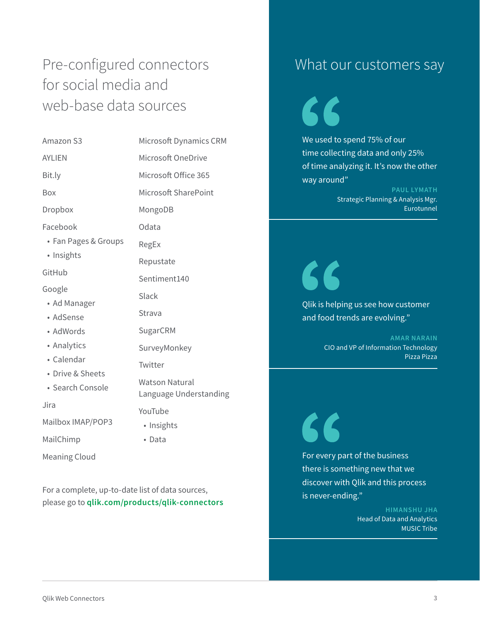## Pre-configured connectors for social media and web-base data sources

| Amazon S3                            | Microsoft Dynamics CRM                          |
|--------------------------------------|-------------------------------------------------|
| <b>AYLIEN</b>                        | Microsoft OneDrive                              |
| Bit.ly                               | Microsoft Office 365                            |
| Box                                  | Microsoft SharePoint                            |
| Dropbox                              | MongoDB                                         |
| Facebook                             | Odata                                           |
| • Fan Pages & Groups                 | RegEx                                           |
| · Insights                           | Repustate                                       |
| GitHub                               | Sentiment140                                    |
| Google<br>• Ad Manager               | Slack                                           |
| • AdSense                            | Strava                                          |
| • AdWords                            | SugarCRM                                        |
| • Analytics                          | SurveyMonkey                                    |
| • Calendar                           | Twitter                                         |
| • Drive & Sheets<br>• Search Console | <b>Watson Natural</b><br>Language Understanding |
| Jira                                 | YouTube                                         |
| Mailbox IMAP/POP3                    | • Insights                                      |
| MailChimp                            | • Data                                          |
| Meaning Cloud                        |                                                 |

For a complete, up-to-date list of data sources, please go to **[qlik.com/products/qlik-connectors](https://www.qlik.com/us/products/qlik-connectors)**

### What our customers say

We used to spend 75% of our time collecting data and only 25% of time analyzing it. It's now the other way around"

> **PAUL LYMATH** Strategic Planning & Analysis Mgr. Eurotunnel

Qlik is helping us see how customer and food trends are evolving."

L

L

**AMAR NARAIN** CIO and VP of Information Technology

Pizza Pizza

For every part of the business there is something new that we discover with Qlik and this process is never-ending."

> **HIMANSHU JHA** Head of Data and Analytics MUSIC Tribe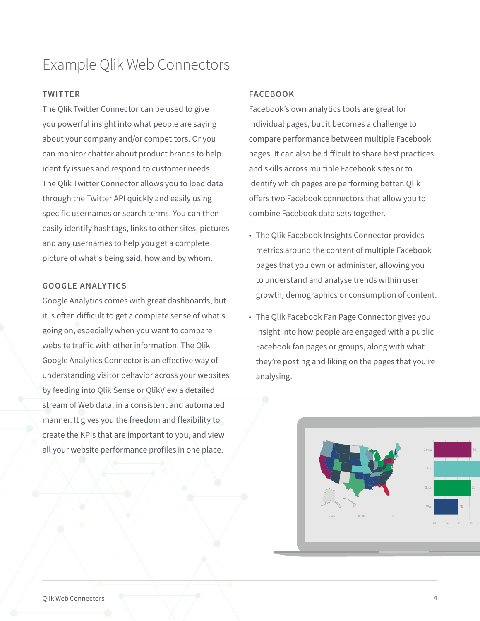## Example Qlik Web Connectors

#### **TWITTER**

The Qlik Twitter Connector can be used to give you powerful insight into what people are saying about your company and/or competitors. Or you can monitor chatter about product brands to help identify issues and respond to customer needs. The Qlik Twitter Connector allows you to load data through the Twitter API quickly and easily using specific usernames or search terms. You can then easily identify hashtags, links to other sites, pictures and any usernames to help you get a complete picture of what's being said, how and by whom.

#### **GOOGLE ANALYTICS**

Google Analytics comes with great dashboards, but it is often difficult to get a complete sense of what's going on, especially when you want to compare website traffic with other information. The Qlik Google Analytics Connector is an effective way of understanding visitor behavior across your websites by feeding into Qlik Sense or QlikView a detailed stream of Web data, in a consistent and automated manner. It gives you the freedom and flexibility to create the KPIs that are important to you, and view all your website performance profiles in one place.

#### **FACEBOOK**

Facebook's own analytics tools are great for individual pages, but it becomes a challenge to compare performance between multiple Facebook pages. It can also be difficult to share best practices and skills across multiple Facebook sites or to identify which pages are performing better. Qlik offers two Facebook connectors that allow you to combine Facebook data sets together.

- The Qlik Facebook Insights Connector provides metrics around the content of multiple Facebook pages that you own or administer, allowing you to understand and analyse trends within user growth, demographics or consumption of content.
- The Qlik Facebook Fan Page Connector gives you insight into how people are engaged with a public Facebook fan pages or groups, along with what they're posting and liking on the pages that you're analysing.